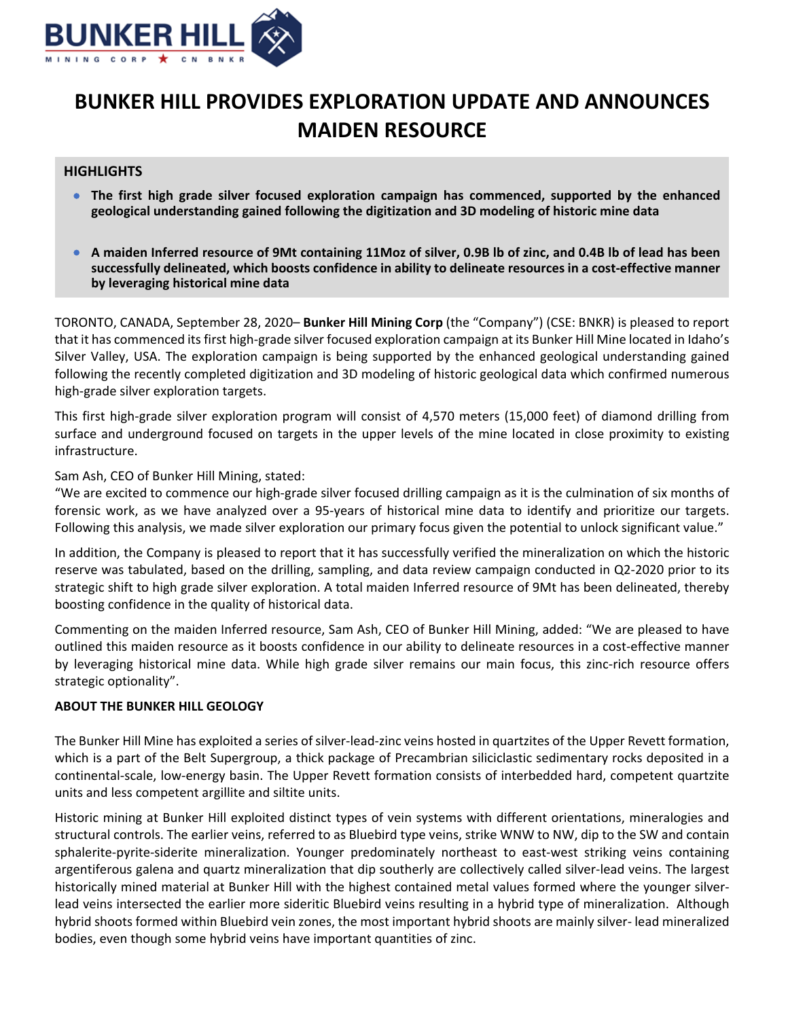

# **BUNKER HILL PROVIDES EXPLORATION UPDATE AND ANNOUNCES MAIDEN RESOURCE**

# **HIGHLIGHTS**

- **The first high grade silver focused exploration campaign has commenced, supported by the enhanced geological understanding gained following the digitization and 3D modeling of historic mine data**
- A maiden Inferred resource of 9Mt containing 11Moz of silver, 0.9B lb of zinc, and 0.4B lb of lead has been **successfully delineated, which boosts confidence in ability to delineate resources in a cost‐effective manner by leveraging historical mine data**

TORONTO, CANADA, September 28, 2020– **Bunker Hill Mining Corp** (the "Company") (CSE: BNKR) is pleased to report that it has commenced its first high-grade silver focused exploration campaign at its Bunker Hill Mine located in Idaho's Silver Valley, USA. The exploration campaign is being supported by the enhanced geological understanding gained following the recently completed digitization and 3D modeling of historic geological data which confirmed numerous high‐grade silver exploration targets.

This first high‐grade silver exploration program will consist of 4,570 meters (15,000 feet) of diamond drilling from surface and underground focused on targets in the upper levels of the mine located in close proximity to existing infrastructure.

#### Sam Ash, CEO of Bunker Hill Mining, stated:

"We are excited to commence our high‐grade silver focused drilling campaign as it is the culmination of six months of forensic work, as we have analyzed over a 95‐years of historical mine data to identify and prioritize our targets. Following this analysis, we made silver exploration our primary focus given the potential to unlock significant value."

In addition, the Company is pleased to report that it has successfully verified the mineralization on which the historic reserve was tabulated, based on the drilling, sampling, and data review campaign conducted in Q2‐2020 prior to its strategic shift to high grade silver exploration. A total maiden Inferred resource of 9Mt has been delineated, thereby boosting confidence in the quality of historical data.

Commenting on the maiden Inferred resource, Sam Ash, CEO of Bunker Hill Mining, added: "We are pleased to have outlined this maiden resource as it boosts confidence in our ability to delineate resources in a cost‐effective manner by leveraging historical mine data. While high grade silver remains our main focus, this zinc‐rich resource offers strategic optionality".

## **ABOUT THE BUNKER HILL GEOLOGY**

The Bunker Hill Mine has exploited a series of silver-lead-zinc veins hosted in quartzites of the Upper Revett formation, which is a part of the Belt Supergroup, a thick package of Precambrian siliciclastic sedimentary rocks deposited in a continental‐scale, low‐energy basin. The Upper Revett formation consists of interbedded hard, competent quartzite units and less competent argillite and siltite units.

Historic mining at Bunker Hill exploited distinct types of vein systems with different orientations, mineralogies and structural controls. The earlier veins, referred to as Bluebird type veins, strike WNW to NW, dip to the SW and contain sphalerite-pyrite-siderite mineralization. Younger predominately northeast to east-west striking veins containing argentiferous galena and quartz mineralization that dip southerly are collectively called silver-lead veins. The largest historically mined material at Bunker Hill with the highest contained metal values formed where the younger silverlead veins intersected the earlier more sideritic Bluebird veins resulting in a hybrid type of mineralization. Although hybrid shoots formed within Bluebird vein zones, the most important hybrid shoots are mainly silver‐ lead mineralized bodies, even though some hybrid veins have important quantities of zinc.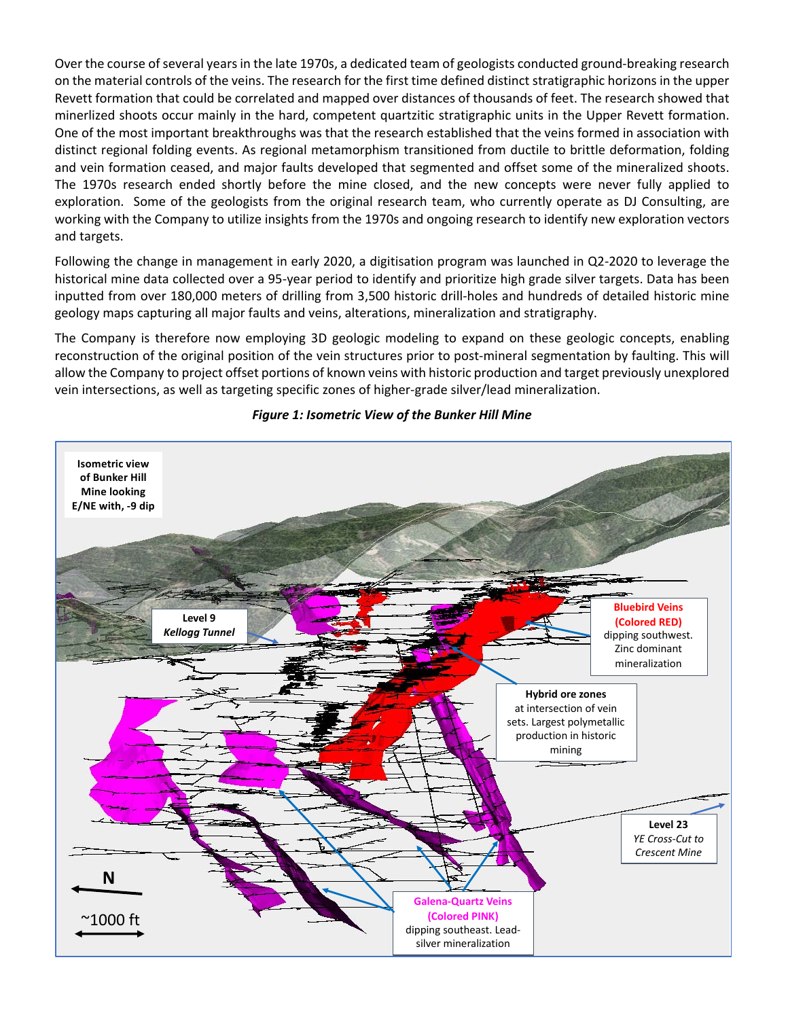Over the course of several years in the late 1970s, a dedicated team of geologists conducted ground-breaking research on the material controls of the veins. The research for the first time defined distinct stratigraphic horizons in the upper Revett formation that could be correlated and mapped over distances of thousands of feet. The research showed that minerlized shoots occur mainly in the hard, competent quartzitic stratigraphic units in the Upper Revett formation. One of the most important breakthroughs was that the research established that the veins formed in association with distinct regional folding events. As regional metamorphism transitioned from ductile to brittle deformation, folding and vein formation ceased, and major faults developed that segmented and offset some of the mineralized shoots. The 1970s research ended shortly before the mine closed, and the new concepts were never fully applied to exploration. Some of the geologists from the original research team, who currently operate as DJ Consulting, are working with the Company to utilize insights from the 1970s and ongoing research to identify new exploration vectors and targets.

Following the change in management in early 2020, a digitisation program was launched in Q2‐2020 to leverage the historical mine data collected over a 95‐year period to identify and prioritize high grade silver targets. Data has been inputted from over 180,000 meters of drilling from 3,500 historic drill-holes and hundreds of detailed historic mine geology maps capturing all major faults and veins, alterations, mineralization and stratigraphy.

The Company is therefore now employing 3D geologic modeling to expand on these geologic concepts, enabling reconstruction of the original position of the vein structures prior to post-mineral segmentation by faulting. This will allow the Company to project offset portions of known veins with historic production and target previously unexplored vein intersections, as well as targeting specific zones of higher‐grade silver/lead mineralization.



#### *Figure 1: Isometric View of the Bunker Hill Mine*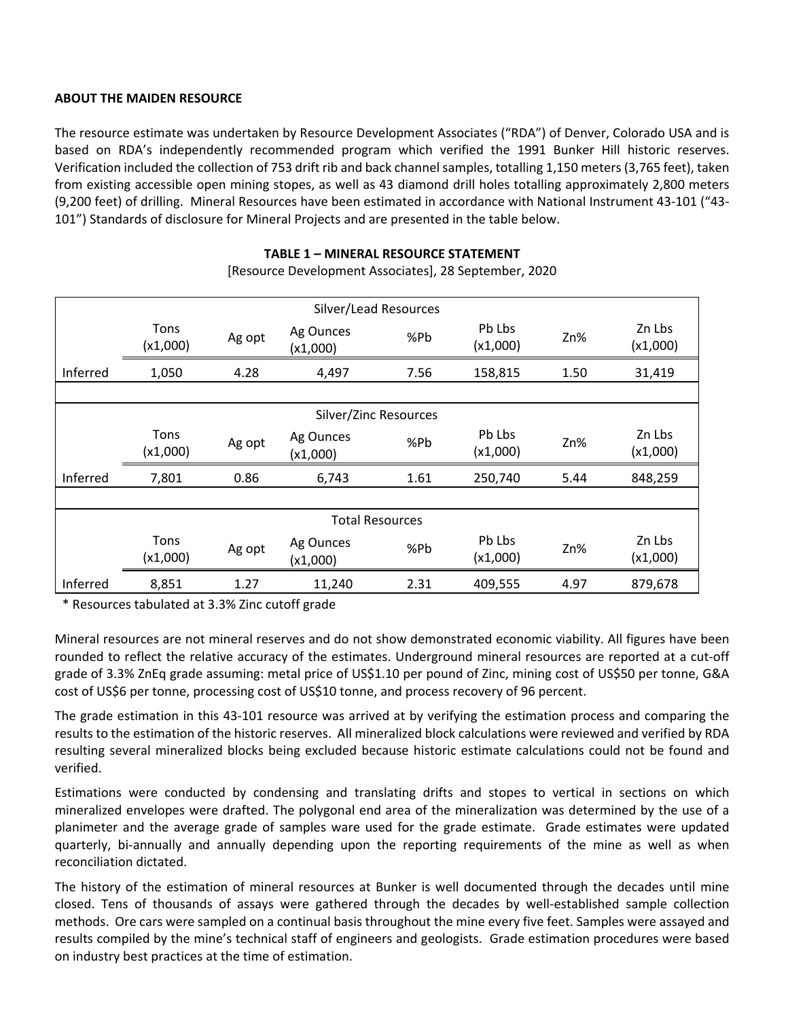## **ABOUT THE MAIDEN RESOURCE**

The resource estimate was undertaken by Resource Development Associates ("RDA") of Denver, Colorado USA and is based on RDA's independently recommended program which verified the 1991 Bunker Hill historic reserves. Verification included the collection of 753 drift rib and back channel samples, totalling 1,150 meters (3,765 feet), taken from existing accessible open mining stopes, as well as 43 diamond drill holes totalling approximately 2,800 meters (9,200 feet) of drilling. Mineral Resources have been estimated in accordance with National Instrument 43‐101 ("43‐ 101") Standards of disclosure for Mineral Projects and are presented in the table below.

## **TABLE 1 – MINERAL RESOURCE STATEMENT**

| Silver/Lead Resources  |                  |        |                       |      |                    |      |                    |
|------------------------|------------------|--------|-----------------------|------|--------------------|------|--------------------|
|                        | Tons<br>(x1,000) | Ag opt | Ag Ounces<br>(x1,000) | %Pb  | Pb Lbs<br>(x1,000) | Zn%  | Zn Lbs<br>(x1,000) |
| Inferred               | 1,050            | 4.28   | 4,497                 | 7.56 | 158,815            | 1.50 | 31,419             |
|                        |                  |        |                       |      |                    |      |                    |
| Silver/Zinc Resources  |                  |        |                       |      |                    |      |                    |
|                        | Tons<br>(x1,000) | Ag opt | Ag Ounces<br>(x1,000) | %Pb  | Pb Lbs<br>(x1,000) | Zn%  | Zn Lbs<br>(x1,000) |
| Inferred               | 7,801            | 0.86   | 6,743                 | 1.61 | 250,740            | 5.44 | 848,259            |
|                        |                  |        |                       |      |                    |      |                    |
| <b>Total Resources</b> |                  |        |                       |      |                    |      |                    |
|                        | Tons<br>(x1,000) | Ag opt | Ag Ounces<br>(x1,000) | %Pb  | Pb Lbs<br>(x1,000) | Zn%  | Zn Lbs<br>(x1,000) |
| Inferred               | 8,851            | 1.27   | 11,240                | 2.31 | 409,555            | 4.97 | 879,678            |

[Resource Development Associates], 28 September, 2020

\* Resources tabulated at 3.3% Zinc cutoff grade

Mineral resources are not mineral reserves and do not show demonstrated economic viability. All figures have been rounded to reflect the relative accuracy of the estimates. Underground mineral resources are reported at a cut-off grade of 3.3% ZnEq grade assuming: metal price of US\$1.10 per pound of Zinc, mining cost of US\$50 per tonne, G&A cost of US\$6 per tonne, processing cost of US\$10 tonne, and process recovery of 96 percent.

The grade estimation in this 43‐101 resource was arrived at by verifying the estimation process and comparing the results to the estimation of the historic reserves. All mineralized block calculations were reviewed and verified by RDA resulting several mineralized blocks being excluded because historic estimate calculations could not be found and verified.

Estimations were conducted by condensing and translating drifts and stopes to vertical in sections on which mineralized envelopes were drafted. The polygonal end area of the mineralization was determined by the use of a planimeter and the average grade of samples ware used for the grade estimate. Grade estimates were updated quarterly, bi‐annually and annually depending upon the reporting requirements of the mine as well as when reconciliation dictated.

The history of the estimation of mineral resources at Bunker is well documented through the decades until mine closed. Tens of thousands of assays were gathered through the decades by well‐established sample collection methods. Ore cars were sampled on a continual basis throughout the mine every five feet. Samples were assayed and results compiled by the mine's technical staff of engineers and geologists. Grade estimation procedures were based on industry best practices at the time of estimation.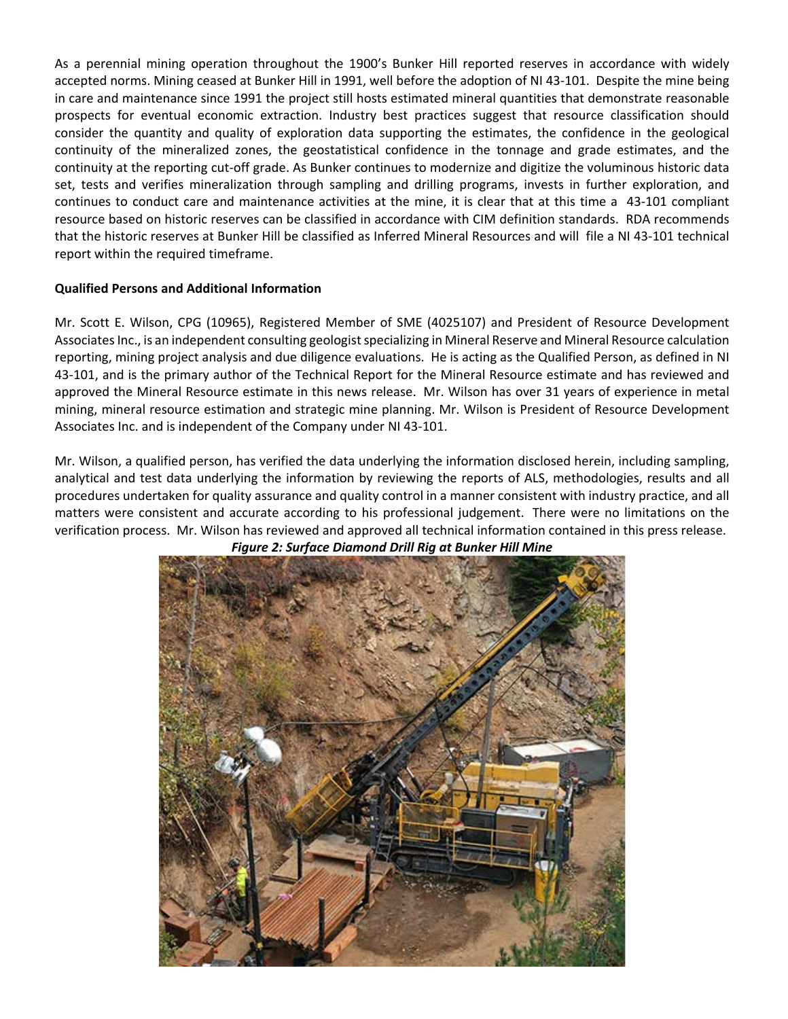As a perennial mining operation throughout the 1900's Bunker Hill reported reserves in accordance with widely accepted norms. Mining ceased at Bunker Hill in 1991, well before the adoption of NI 43‐101. Despite the mine being in care and maintenance since 1991 the project still hosts estimated mineral quantities that demonstrate reasonable prospects for eventual economic extraction. Industry best practices suggest that resource classification should consider the quantity and quality of exploration data supporting the estimates, the confidence in the geological continuity of the mineralized zones, the geostatistical confidence in the tonnage and grade estimates, and the continuity at the reporting cut‐off grade. As Bunker continues to modernize and digitize the voluminous historic data set, tests and verifies mineralization through sampling and drilling programs, invests in further exploration, and continues to conduct care and maintenance activities at the mine, it is clear that at this time a 43‐101 compliant resource based on historic reserves can be classified in accordance with CIM definition standards. RDA recommends that the historic reserves at Bunker Hill be classified as Inferred Mineral Resources and will file a NI 43‐101 technical report within the required timeframe.

## **Qualified Persons and Additional Information**

Mr. Scott E. Wilson, CPG (10965), Registered Member of SME (4025107) and President of Resource Development Associates Inc., is an independent consulting geologist specializing in Mineral Reserve and Mineral Resource calculation reporting, mining project analysis and due diligence evaluations. He is acting as the Qualified Person, as defined in NI 43‐101, and is the primary author of the Technical Report for the Mineral Resource estimate and has reviewed and approved the Mineral Resource estimate in this news release. Mr. Wilson has over 31 years of experience in metal mining, mineral resource estimation and strategic mine planning. Mr. Wilson is President of Resource Development Associates Inc. and is independent of the Company under NI 43‐101.

Mr. Wilson, a qualified person, has verified the data underlying the information disclosed herein, including sampling, analytical and test data underlying the information by reviewing the reports of ALS, methodologies, results and all procedures undertaken for quality assurance and quality control in a manner consistent with industry practice, and all matters were consistent and accurate according to his professional judgement. There were no limitations on the verification process. Mr. Wilson has reviewed and approved all technical information contained in this press release.



*Figure 2: Surface Diamond Drill Rig at Bunker Hill Mine*